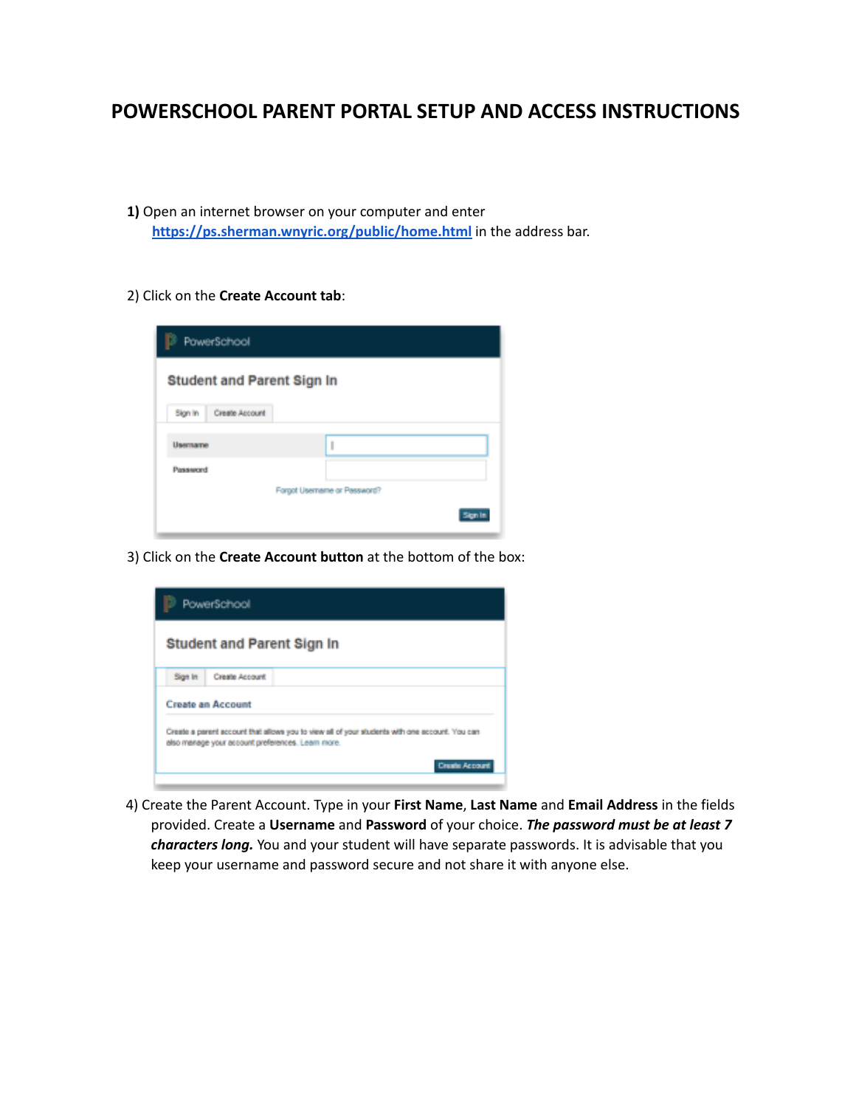## **POWERSCHOOL PARENT PORTAL SETUP AND ACCESS INSTRUCTIONS**

- **1)** Open an internet browser on your computer and enter **<https://ps.sherman.wnyric.org/public/home.html>** in the address bar.
- 2) Click on the **Create Account tab**:

|                           | PowerSchool<br><b>Student and Parent Sign In</b> |  |  |
|---------------------------|--------------------------------------------------|--|--|
|                           |                                                  |  |  |
| Create Account<br>Sign in |                                                  |  |  |
| Username                  | ı                                                |  |  |
| Password                  |                                                  |  |  |
|                           | Forgot Usemame or Password?                      |  |  |
|                           |                                                  |  |  |

3) Click on the **Create Account button** at the bottom of the box:

| PowerSchool                                                                                                                                                                  |                |  |
|------------------------------------------------------------------------------------------------------------------------------------------------------------------------------|----------------|--|
| <b>Student and Parent Sign In</b>                                                                                                                                            |                |  |
| Sign In                                                                                                                                                                      | Create Account |  |
| <b>Create an Account</b>                                                                                                                                                     |                |  |
| Create a parent account that allows you to view all of your students with one account. You can<br>also manage your account preferences. Learn more.<br><b>Create Account</b> |                |  |

4) Create the Parent Account. Type in your **First Name**, **Last Name** and **Email Address** in the fields provided. Create a **Username** and **Password** of your choice. *The password must be at least 7 characters long.* You and your student will have separate passwords. It is advisable that you keep your username and password secure and not share it with anyone else.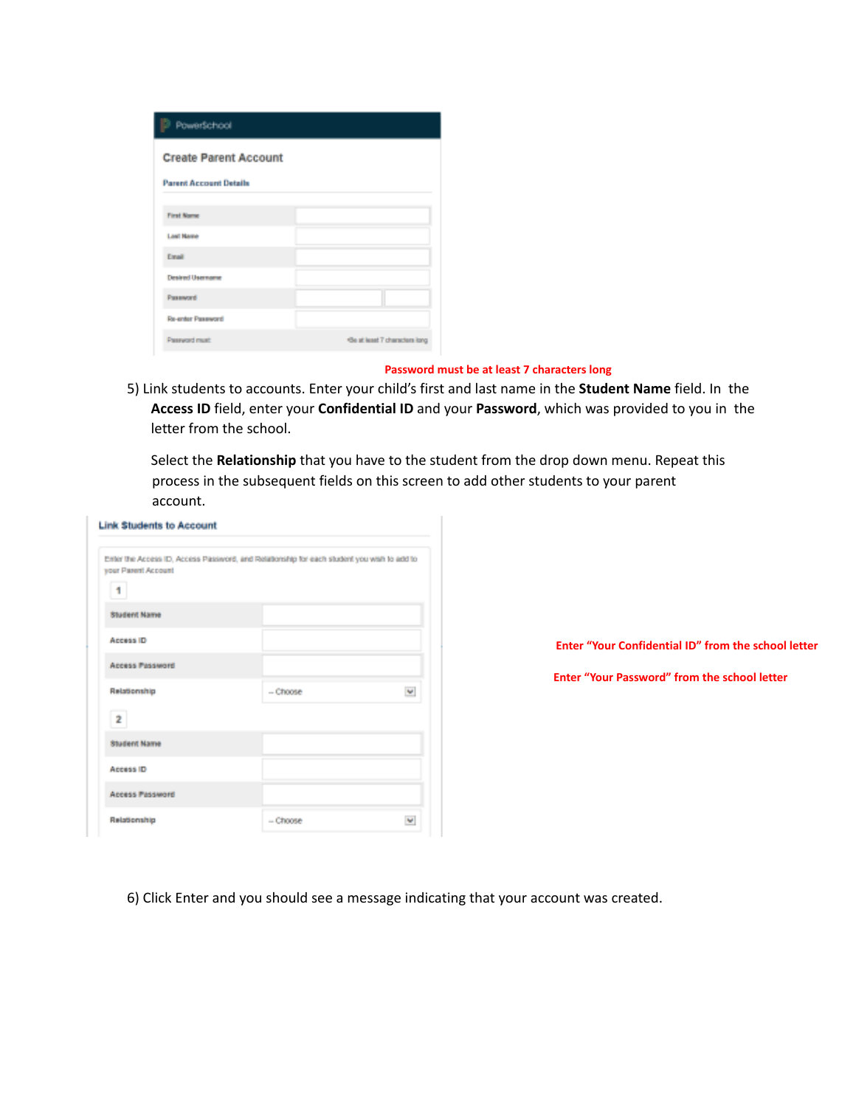| PowerSchool                   |                                |  |
|-------------------------------|--------------------------------|--|
| <b>Create Parent Account</b>  |                                |  |
| <b>Parent Account Details</b> |                                |  |
| <b>First Name</b>             |                                |  |
| <b>Last Name</b>              |                                |  |
| Email                         |                                |  |
| <b>Desired Username</b>       |                                |  |
| Password                      |                                |  |
| Re-enter Password             |                                |  |
| Password must                 | *Be at least 7 characters long |  |

## **Password must be at least 7 characters long**

5) Link students to accounts. Enter your child's first and last name in the **Student Name** field. In the **Access ID** field, enter your **Confidential ID** and your **Password**, which was provided to you in the letter from the school.

Select the **Relationship** that you have to the student from the drop down menu. Repeat this process in the subsequent fields on this screen to add other students to your parent account.

| your Parent Account<br>1 | Enter the Access ID, Access Password, and Relationship for each student you wish to add to |   |
|--------------------------|--------------------------------------------------------------------------------------------|---|
| <b>Student Name</b>      |                                                                                            |   |
| Access ID                |                                                                                            |   |
| Access Password          |                                                                                            |   |
| Relationship             | - Choose                                                                                   | w |
| 2                        |                                                                                            |   |
| <b>Student Name</b>      |                                                                                            |   |
| Access ID                |                                                                                            |   |
| Access Password          |                                                                                            |   |
| Relationship             | - Choose                                                                                   | v |

**Enter "Your Confidential ID" from the school letter**

**Enter "Your Password" from the school letter**

6) Click Enter and you should see a message indicating that your account was created.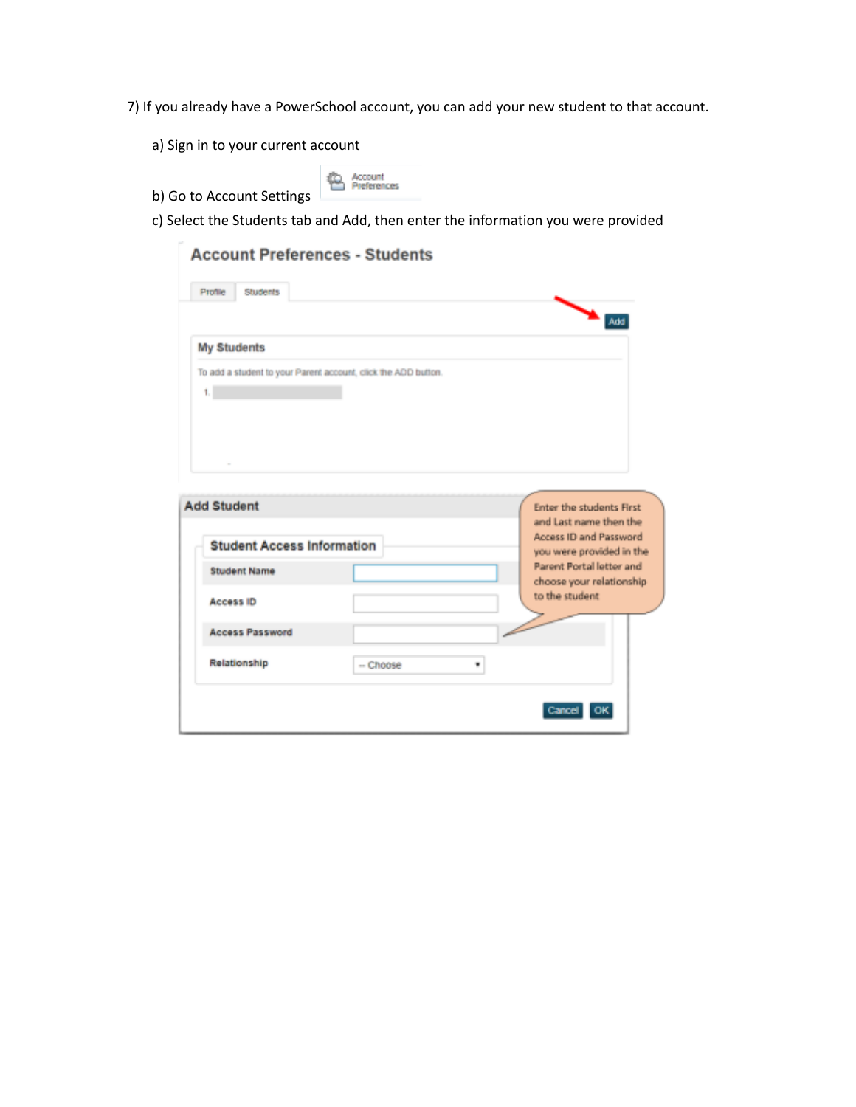7) If you already have a PowerSchool account, you can add your new student to that account.

- a) Sign in to your current account
- b) Go to Account Settings

 $\mu$ 

**B** Account

c) Select the Students tab and Add, then enter the information you were provided

| $\Delta$ Add<br>My Students<br>To add a student to your Parent account, click the ADD button.<br>1.1<br><b>Student Access Information</b><br><b>Student Name</b><br>to the student<br><b>Access ID</b><br><b>Access Password</b><br>Relationship<br>-- Choose<br>٠ | Profile<br>Students |                                                                                                                 |
|--------------------------------------------------------------------------------------------------------------------------------------------------------------------------------------------------------------------------------------------------------------------|---------------------|-----------------------------------------------------------------------------------------------------------------|
|                                                                                                                                                                                                                                                                    |                     |                                                                                                                 |
|                                                                                                                                                                                                                                                                    |                     |                                                                                                                 |
|                                                                                                                                                                                                                                                                    |                     |                                                                                                                 |
|                                                                                                                                                                                                                                                                    |                     |                                                                                                                 |
|                                                                                                                                                                                                                                                                    |                     |                                                                                                                 |
|                                                                                                                                                                                                                                                                    |                     |                                                                                                                 |
|                                                                                                                                                                                                                                                                    |                     |                                                                                                                 |
|                                                                                                                                                                                                                                                                    |                     |                                                                                                                 |
|                                                                                                                                                                                                                                                                    |                     |                                                                                                                 |
|                                                                                                                                                                                                                                                                    |                     |                                                                                                                 |
|                                                                                                                                                                                                                                                                    |                     |                                                                                                                 |
|                                                                                                                                                                                                                                                                    |                     |                                                                                                                 |
|                                                                                                                                                                                                                                                                    |                     |                                                                                                                 |
|                                                                                                                                                                                                                                                                    |                     |                                                                                                                 |
|                                                                                                                                                                                                                                                                    |                     | <b>Enter the students First</b><br>and Last name then the<br>Access ID and Password<br>you were provided in the |
|                                                                                                                                                                                                                                                                    |                     | Parent Portal letter and                                                                                        |
|                                                                                                                                                                                                                                                                    |                     | choose your relationship                                                                                        |
|                                                                                                                                                                                                                                                                    |                     |                                                                                                                 |
|                                                                                                                                                                                                                                                                    |                     |                                                                                                                 |
|                                                                                                                                                                                                                                                                    |                     |                                                                                                                 |
|                                                                                                                                                                                                                                                                    |                     |                                                                                                                 |
|                                                                                                                                                                                                                                                                    | <b>Add Student</b>  |                                                                                                                 |